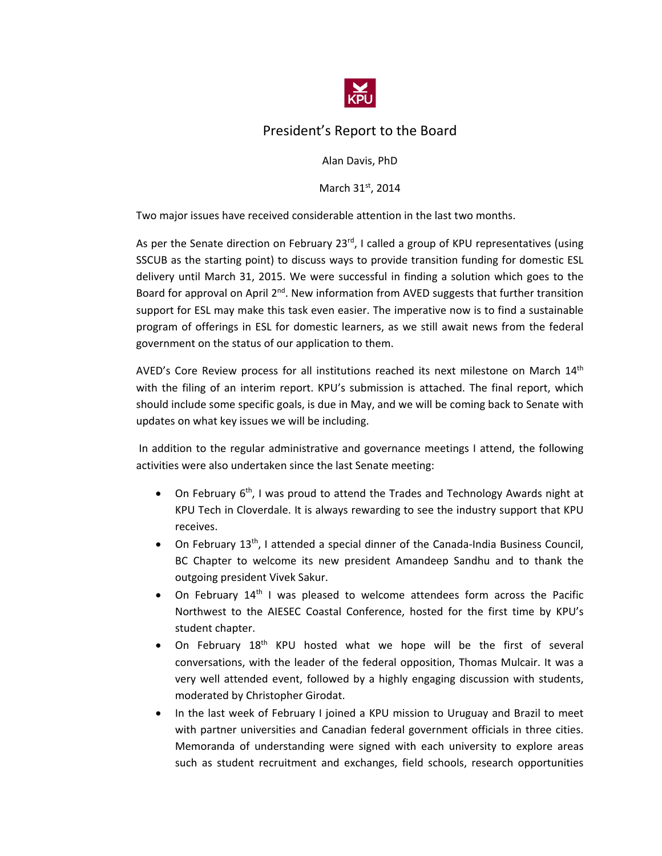

# President's Report to the Board

Alan Davis, PhD

March 31st, 2014

Two major issues have received considerable attention in the last two months.

As per the Senate direction on February 23<sup>rd</sup>, I called a group of KPU representatives (using SSCUB as the starting point) to discuss ways to provide transition funding for domestic ESL delivery until March 31, 2015. We were successful in finding a solution which goes to the Board for approval on April  $2^{nd}$ . New information from AVED suggests that further transition support for ESL may make this task even easier. The imperative now is to find a sustainable program of offerings in ESL for domestic learners, as we still await news from the federal government on the status of our application to them.

AVED's Core Review process for all institutions reached its next milestone on March  $14<sup>th</sup>$ with the filing of an interim report. KPU's submission is attached. The final report, which should include some specific goals, is due in May, and we will be coming back to Senate with updates on what key issues we will be including.

In addition to the regular administrative and governance meetings I attend, the following activities were also undertaken since the last Senate meeting:

- On February  $6<sup>th</sup>$ , I was proud to attend the Trades and Technology Awards night at KPU Tech in Cloverdale. It is always rewarding to see the industry support that KPU receives.
- On February 13<sup>th</sup>, I attended a special dinner of the Canada-India Business Council, BC Chapter to welcome its new president Amandeep Sandhu and to thank the outgoing president Vivek Sakur.
- On February  $14<sup>th</sup>$  I was pleased to welcome attendees form across the Pacific Northwest to the AIESEC Coastal Conference, hosted for the first time by KPU's student chapter.
- On February 18<sup>th</sup> KPU hosted what we hope will be the first of several conversations, with the leader of the federal opposition, Thomas Mulcair. It was a very well attended event, followed by a highly engaging discussion with students, moderated by Christopher Girodat.
- In the last week of February I joined a KPU mission to Uruguay and Brazil to meet with partner universities and Canadian federal government officials in three cities. Memoranda of understanding were signed with each university to explore areas such as student recruitment and exchanges, field schools, research opportunities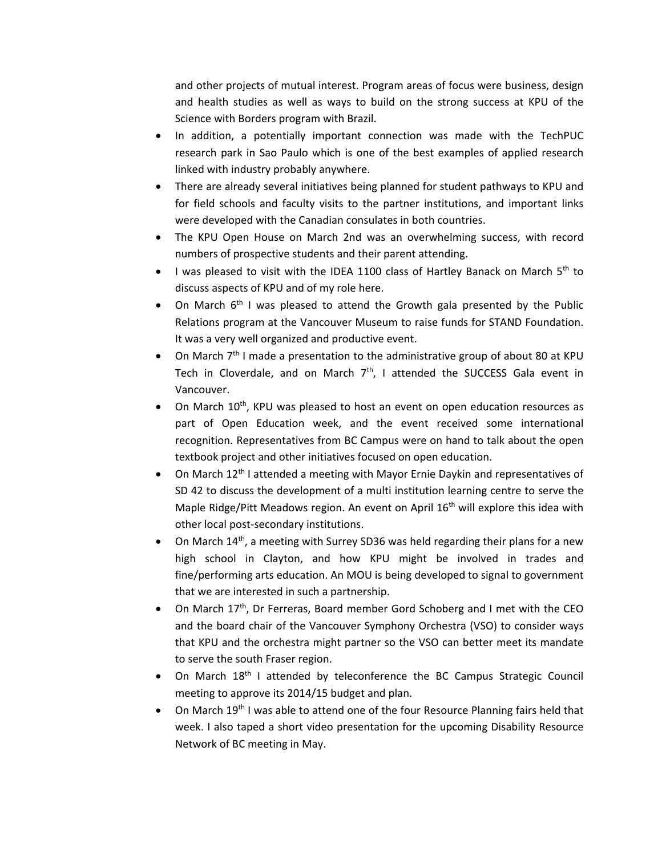and other projects of mutual interest. Program areas of focus were business, design and health studies as well as ways to build on the strong success at KPU of the Science with Borders program with Brazil.

- In addition, a potentially important connection was made with the TechPUC research park in Sao Paulo which is one of the best examples of applied research linked with industry probably anywhere.
- There are already several initiatives being planned for student pathways to KPU and for field schools and faculty visits to the partner institutions, and important links were developed with the Canadian consulates in both countries.
- The KPU Open House on March 2nd was an overwhelming success, with record numbers of prospective students and their parent attending.
- I was pleased to visit with the IDEA 1100 class of Hartley Banack on March  $5<sup>th</sup>$  to discuss aspects of KPU and of my role here.
- On March  $6<sup>th</sup>$  I was pleased to attend the Growth gala presented by the Public Relations program at the Vancouver Museum to raise funds for STAND Foundation. It was a very well organized and productive event.
- On March  $7<sup>th</sup>$  I made a presentation to the administrative group of about 80 at KPU Tech in Cloverdale, and on March  $7<sup>th</sup>$ , I attended the SUCCESS Gala event in Vancouver.
- On March  $10^{th}$ , KPU was pleased to host an event on open education resources as part of Open Education week, and the event received some international recognition. Representatives from BC Campus were on hand to talk about the open textbook project and other initiatives focused on open education.
- On March 12th I attended a meeting with Mayor Ernie Daykin and representatives of SD 42 to discuss the development of a multi institution learning centre to serve the Maple Ridge/Pitt Meadows region. An event on April  $16<sup>th</sup>$  will explore this idea with other local post‐secondary institutions.
- $\bullet$  On March 14<sup>th</sup>, a meeting with Surrey SD36 was held regarding their plans for a new high school in Clayton, and how KPU might be involved in trades and fine/performing arts education. An MOU is being developed to signal to government that we are interested in such a partnership.
- On March 17<sup>th</sup>, Dr Ferreras, Board member Gord Schoberg and I met with the CEO and the board chair of the Vancouver Symphony Orchestra (VSO) to consider ways that KPU and the orchestra might partner so the VSO can better meet its mandate to serve the south Fraser region.
- On March 18<sup>th</sup> I attended by teleconference the BC Campus Strategic Council meeting to approve its 2014/15 budget and plan.
- On March 19<sup>th</sup> I was able to attend one of the four Resource Planning fairs held that week. I also taped a short video presentation for the upcoming Disability Resource Network of BC meeting in May.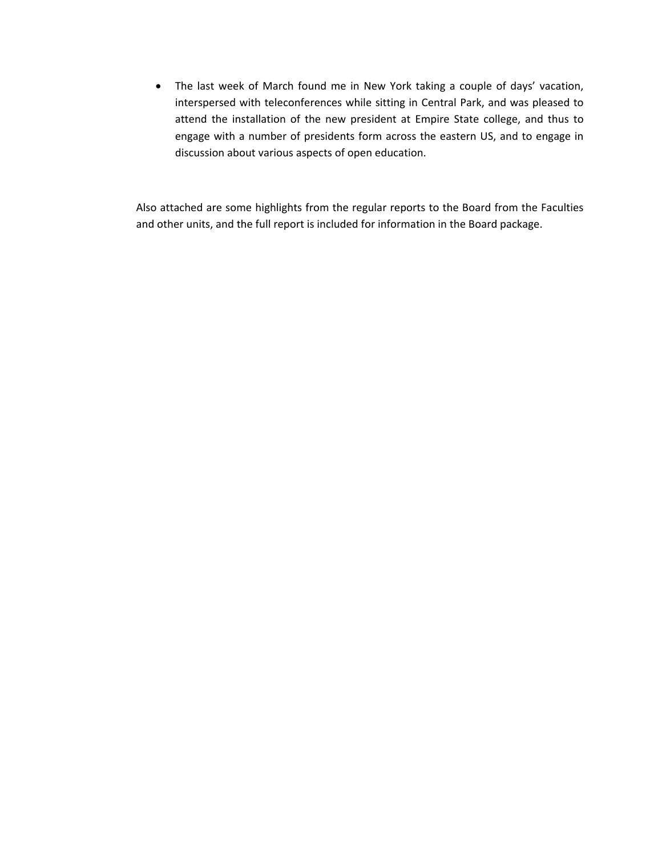The last week of March found me in New York taking a couple of days' vacation, interspersed with teleconferences while sitting in Central Park, and was pleased to attend the installation of the new president at Empire State college, and thus to engage with a number of presidents form across the eastern US, and to engage in discussion about various aspects of open education.

Also attached are some highlights from the regular reports to the Board from the Faculties and other units, and the full report is included for information in the Board package.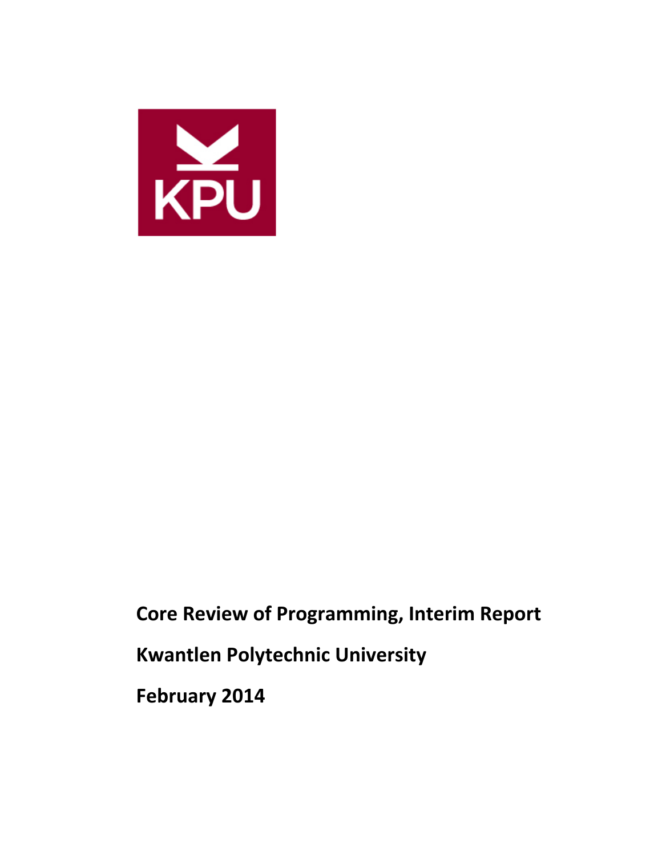

**Core Review of Programming, Interim Report**

**Kwantlen Polytechnic University**

**February 2014**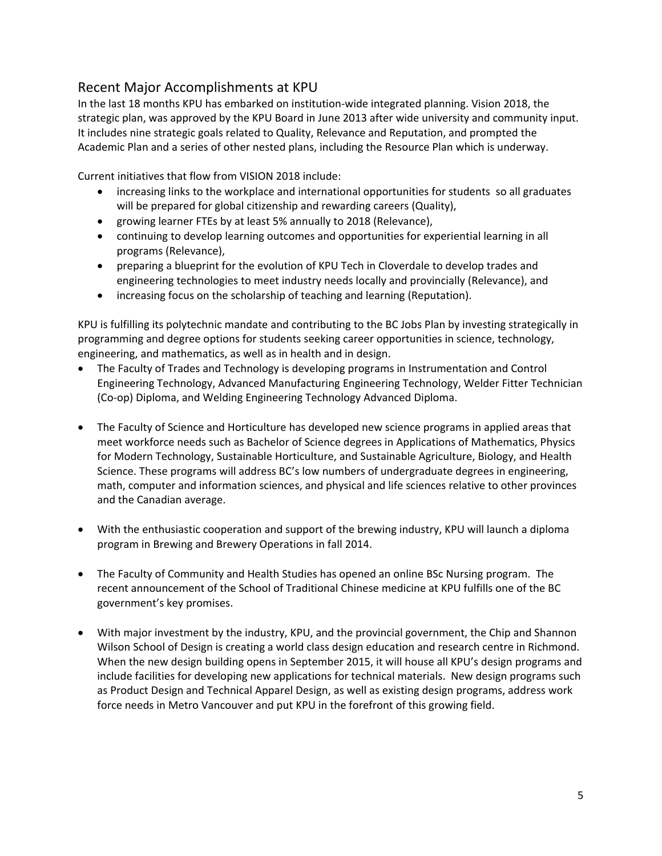# Recent Major Accomplishments at KPU

In the last 18 months KPU has embarked on institution‐wide integrated planning. Vision 2018, the strategic plan, was approved by the KPU Board in June 2013 after wide university and community input. It includes nine strategic goals related to Quality, Relevance and Reputation, and prompted the Academic Plan and a series of other nested plans, including the Resource Plan which is underway.

Current initiatives that flow from VISION 2018 include:

- increasing links to the workplace and international opportunities for students so all graduates will be prepared for global citizenship and rewarding careers (Quality),
- growing learner FTEs by at least 5% annually to 2018 (Relevance),
- continuing to develop learning outcomes and opportunities for experiential learning in all programs (Relevance),
- preparing a blueprint for the evolution of KPU Tech in Cloverdale to develop trades and engineering technologies to meet industry needs locally and provincially (Relevance), and
- increasing focus on the scholarship of teaching and learning (Reputation).

KPU is fulfilling its polytechnic mandate and contributing to the BC Jobs Plan by investing strategically in programming and degree options for students seeking career opportunities in science, technology, engineering, and mathematics, as well as in health and in design.

- The Faculty of Trades and Technology is developing programs in Instrumentation and Control Engineering Technology, Advanced Manufacturing Engineering Technology, Welder Fitter Technician (Co‐op) Diploma, and Welding Engineering Technology Advanced Diploma.
- The Faculty of Science and Horticulture has developed new science programs in applied areas that meet workforce needs such as Bachelor of Science degrees in Applications of Mathematics, Physics for Modern Technology, Sustainable Horticulture, and Sustainable Agriculture, Biology, and Health Science. These programs will address BC's low numbers of undergraduate degrees in engineering, math, computer and information sciences, and physical and life sciences relative to other provinces and the Canadian average.
- With the enthusiastic cooperation and support of the brewing industry, KPU will launch a diploma program in Brewing and Brewery Operations in fall 2014.
- The Faculty of Community and Health Studies has opened an online BSc Nursing program. The recent announcement of the School of Traditional Chinese medicine at KPU fulfills one of the BC government's key promises.
- With major investment by the industry, KPU, and the provincial government, the Chip and Shannon Wilson School of Design is creating a world class design education and research centre in Richmond. When the new design building opens in September 2015, it will house all KPU's design programs and include facilities for developing new applications for technical materials. New design programs such as Product Design and Technical Apparel Design, as well as existing design programs, address work force needs in Metro Vancouver and put KPU in the forefront of this growing field.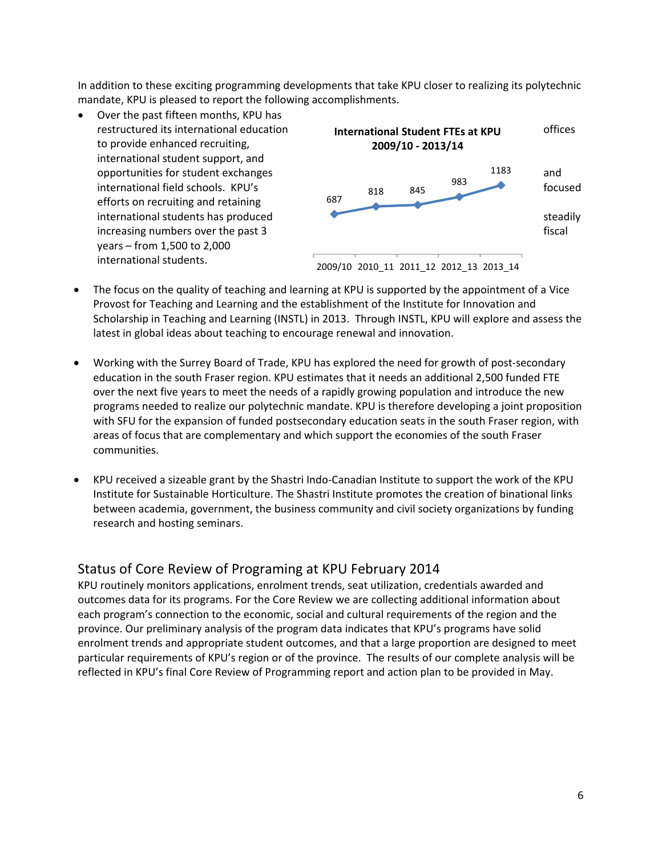In addition to these exciting programming developments that take KPU closer to realizing its polytechnic mandate, KPU is pleased to report the following accomplishments.

 Over the past fifteen months, KPU has to provide enhanced recruiting, international student support, and efforts on recruiting and retaining years – from 1,500 to 2,000 international students.



- The focus on the quality of teaching and learning at KPU is supported by the appointment of a Vice Provost for Teaching and Learning and the establishment of the Institute for Innovation and Scholarship in Teaching and Learning (INSTL) in 2013. Through INSTL, KPU will explore and assess the latest in global ideas about teaching to encourage renewal and innovation.
- Working with the Surrey Board of Trade, KPU has explored the need for growth of post-secondary education in the south Fraser region. KPU estimates that it needs an additional 2,500 funded FTE over the next five years to meet the needs of a rapidly growing population and introduce the new programs needed to realize our polytechnic mandate. KPU is therefore developing a joint proposition with SFU for the expansion of funded postsecondary education seats in the south Fraser region, with areas of focus that are complementary and which support the economies of the south Fraser communities.
- KPU received a sizeable grant by the Shastri Indo-Canadian Institute to support the work of the KPU Institute for Sustainable Horticulture. The Shastri Institute promotes the creation of binational links between academia, government, the business community and civil society organizations by funding research and hosting seminars.

#### Status of Core Review of Programing at KPU February 2014

KPU routinely monitors applications, enrolment trends, seat utilization, credentials awarded and outcomes data for its programs. For the Core Review we are collecting additional information about each program's connection to the economic, social and cultural requirements of the region and the province. Our preliminary analysis of the program data indicates that KPU's programs have solid enrolment trends and appropriate student outcomes, and that a large proportion are designed to meet particular requirements of KPU's region or of the province. The results of our complete analysis will be reflected in KPU's final Core Review of Programming report and action plan to be provided in May.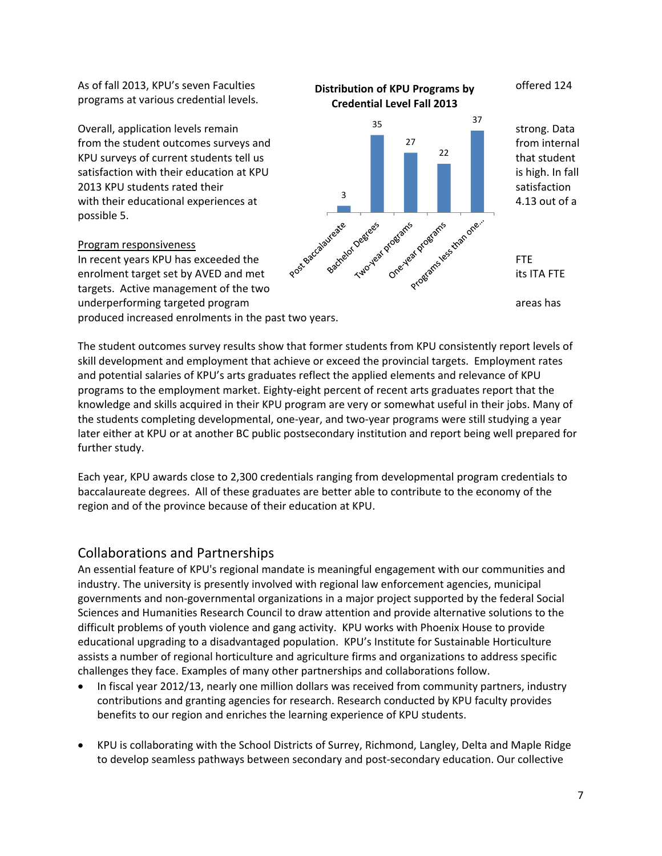programs at various credential levels.

possible 5.

#### Program responsiveness

targets. Active management of the two produced increased enrolments in the past two years.



The student outcomes survey results show that former students from KPU consistently report levels of skill development and employment that achieve or exceed the provincial targets. Employment rates and potential salaries of KPU's arts graduates reflect the applied elements and relevance of KPU programs to the employment market. Eighty‐eight percent of recent arts graduates report that the knowledge and skills acquired in their KPU program are very or somewhat useful in their jobs. Many of the students completing developmental, one‐year, and two‐year programs were still studying a year later either at KPU or at another BC public postsecondary institution and report being well prepared for further study.

Each year, KPU awards close to 2,300 credentials ranging from developmental program credentials to baccalaureate degrees. All of these graduates are better able to contribute to the economy of the region and of the province because of their education at KPU.

#### Collaborations and Partnerships

An essential feature of KPU's regional mandate is meaningful engagement with our communities and industry. The university is presently involved with regional law enforcement agencies, municipal governments and non‐governmental organizations in a major project supported by the federal Social Sciences and Humanities Research Council to draw attention and provide alternative solutions to the difficult problems of youth violence and gang activity. KPU works with Phoenix House to provide educational upgrading to a disadvantaged population. KPU's Institute for Sustainable Horticulture assists a number of regional horticulture and agriculture firms and organizations to address specific challenges they face. Examples of many other partnerships and collaborations follow.

- In fiscal year 2012/13, nearly one million dollars was received from community partners, industry contributions and granting agencies for research. Research conducted by KPU faculty provides benefits to our region and enriches the learning experience of KPU students.
- KPU is collaborating with the School Districts of Surrey, Richmond, Langley, Delta and Maple Ridge to develop seamless pathways between secondary and post-secondary education. Our collective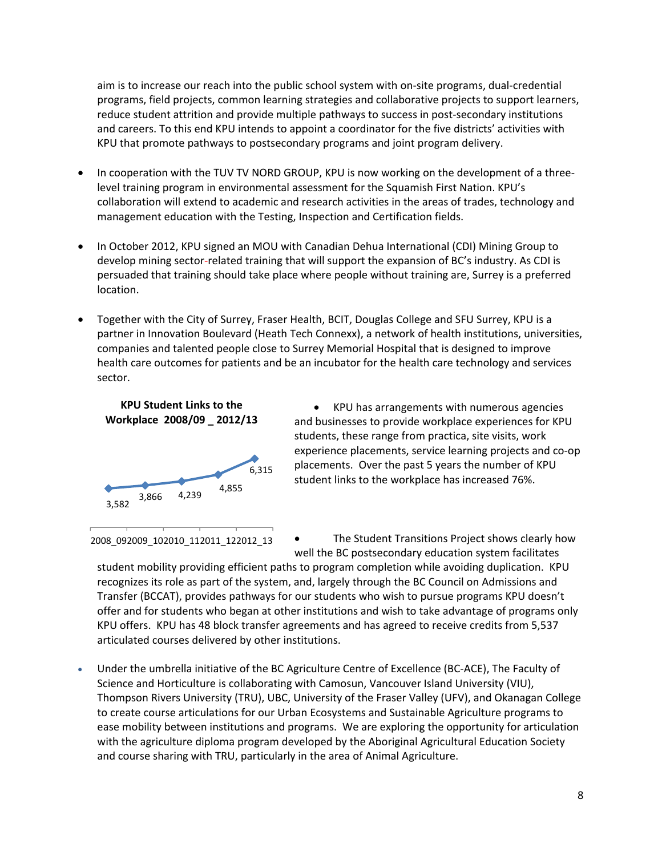aim is to increase our reach into the public school system with on‐site programs, dual‐credential programs, field projects, common learning strategies and collaborative projects to support learners, reduce student attrition and provide multiple pathways to success in post-secondary institutions and careers. To this end KPU intends to appoint a coordinator for the five districts' activities with KPU that promote pathways to postsecondary programs and joint program delivery.

- In cooperation with the TUV TV NORD GROUP, KPU is now working on the development of a threelevel training program in environmental assessment for the Squamish First Nation. KPU's collaboration will extend to academic and research activities in the areas of trades, technology and management education with the Testing, Inspection and Certification fields.
- In October 2012, KPU signed an MOU with Canadian Dehua International (CDI) Mining Group to develop mining sector-related training that will support the expansion of BC's industry. As CDI is persuaded that training should take place where people without training are, Surrey is a preferred location.
- Together with the City of Surrey, Fraser Health, BCIT, Douglas College and SFU Surrey, KPU is a partner in Innovation Boulevard (Heath Tech Connexx), a network of health institutions, universities, companies and talented people close to Surrey Memorial Hospital that is designed to improve health care outcomes for patients and be an incubator for the health care technology and services sector.

#### **KPU Student Links to the Workplace 2008/09 \_ 2012/13**



 KPU has arrangements with numerous agencies and businesses to provide workplace experiences for KPU students, these range from practica, site visits, work experience placements, service learning projects and co‐op placements. Over the past 5 years the number of KPU student links to the workplace has increased 76%.

2008\_092009\_102010\_112011\_122012\_13

 The Student Transitions Project shows clearly how well the BC postsecondary education system facilitates

student mobility providing efficient paths to program completion while avoiding duplication. KPU recognizes its role as part of the system, and, largely through the BC Council on Admissions and Transfer (BCCAT), provides pathways for our students who wish to pursue programs KPU doesn't offer and for students who began at other institutions and wish to take advantage of programs only KPU offers. KPU has 48 block transfer agreements and has agreed to receive credits from 5,537 articulated courses delivered by other institutions.

 Under the umbrella initiative of the BC Agriculture Centre of Excellence (BC‐ACE), The Faculty of Science and Horticulture is collaborating with Camosun, Vancouver Island University (VIU), Thompson Rivers University (TRU), UBC, University of the Fraser Valley (UFV), and Okanagan College to create course articulations for our Urban Ecosystems and Sustainable Agriculture programs to ease mobility between institutions and programs. We are exploring the opportunity for articulation with the agriculture diploma program developed by the Aboriginal Agricultural Education Society and course sharing with TRU, particularly in the area of Animal Agriculture.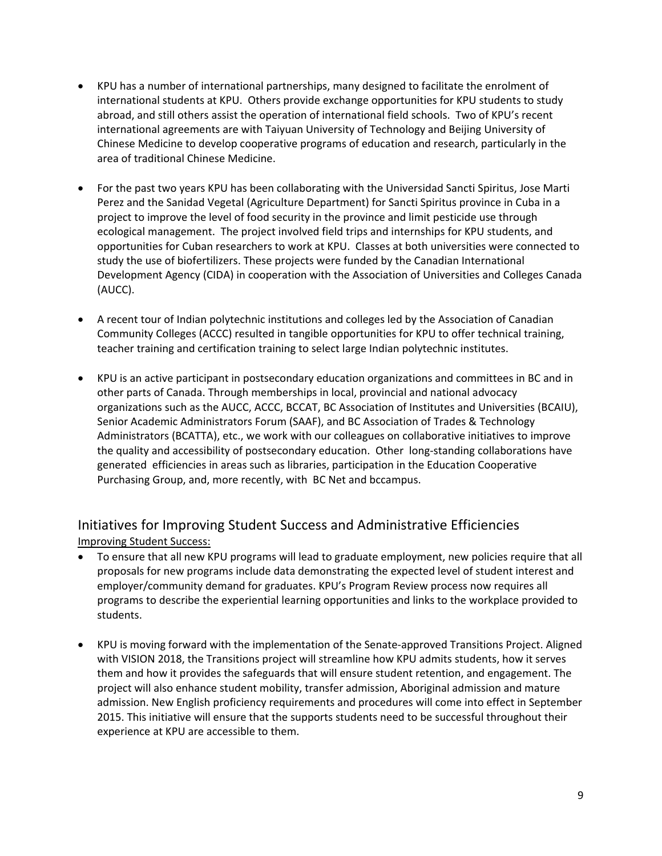- KPU has a number of international partnerships, many designed to facilitate the enrolment of international students at KPU. Others provide exchange opportunities for KPU students to study abroad, and still others assist the operation of international field schools. Two of KPU's recent international agreements are with Taiyuan University of Technology and Beijing University of Chinese Medicine to develop cooperative programs of education and research, particularly in the area of traditional Chinese Medicine.
- For the past two years KPU has been collaborating with the Universidad Sancti Spiritus, Jose Marti Perez and the Sanidad Vegetal (Agriculture Department) for Sancti Spiritus province in Cuba in a project to improve the level of food security in the province and limit pesticide use through ecological management. The project involved field trips and internships for KPU students, and opportunities for Cuban researchers to work at KPU. Classes at both universities were connected to study the use of biofertilizers. These projects were funded by the Canadian International Development Agency (CIDA) in cooperation with the Association of Universities and Colleges Canada (AUCC).
- A recent tour of Indian polytechnic institutions and colleges led by the Association of Canadian Community Colleges (ACCC) resulted in tangible opportunities for KPU to offer technical training, teacher training and certification training to select large Indian polytechnic institutes.
- KPU is an active participant in postsecondary education organizations and committees in BC and in other parts of Canada. Through memberships in local, provincial and national advocacy organizations such as the AUCC, ACCC, BCCAT, BC Association of Institutes and Universities (BCAIU), Senior Academic Administrators Forum (SAAF), and BC Association of Trades & Technology Administrators (BCATTA), etc., we work with our colleagues on collaborative initiatives to improve the quality and accessibility of postsecondary education. Other long-standing collaborations have generated efficiencies in areas such as libraries, participation in the Education Cooperative Purchasing Group, and, more recently, with BC Net and bccampus.

# Initiatives for Improving Student Success and Administrative Efficiencies Improving Student Success:

- To ensure that all new KPU programs will lead to graduate employment, new policies require that all proposals for new programs include data demonstrating the expected level of student interest and employer/community demand for graduates. KPU's Program Review process now requires all programs to describe the experiential learning opportunities and links to the workplace provided to students.
- KPU is moving forward with the implementation of the Senate-approved Transitions Project. Aligned with VISION 2018, the Transitions project will streamline how KPU admits students, how it serves them and how it provides the safeguards that will ensure student retention, and engagement. The project will also enhance student mobility, transfer admission, Aboriginal admission and mature admission. New English proficiency requirements and procedures will come into effect in September 2015. This initiative will ensure that the supports students need to be successful throughout their experience at KPU are accessible to them.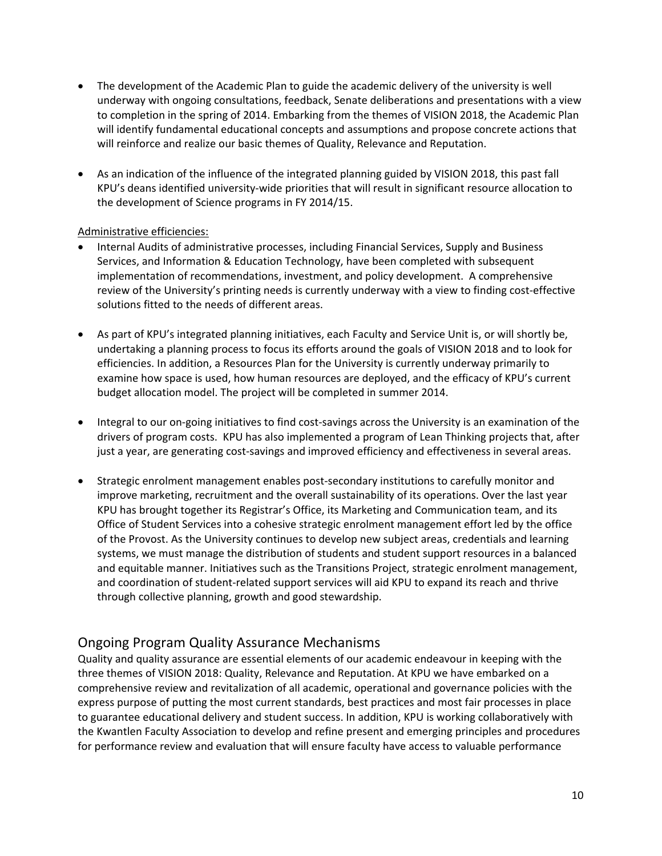- The development of the Academic Plan to guide the academic delivery of the university is well underway with ongoing consultations, feedback, Senate deliberations and presentations with a view to completion in the spring of 2014. Embarking from the themes of VISION 2018, the Academic Plan will identify fundamental educational concepts and assumptions and propose concrete actions that will reinforce and realize our basic themes of Quality, Relevance and Reputation.
- As an indication of the influence of the integrated planning guided by VISION 2018, this past fall KPU's deans identified university‐wide priorities that will result in significant resource allocation to the development of Science programs in FY 2014/15.

#### Administrative efficiencies:

- Internal Audits of administrative processes, including Financial Services, Supply and Business Services, and Information & Education Technology, have been completed with subsequent implementation of recommendations, investment, and policy development. A comprehensive review of the University's printing needs is currently underway with a view to finding cost‐effective solutions fitted to the needs of different areas.
- As part of KPU's integrated planning initiatives, each Faculty and Service Unit is, or will shortly be, undertaking a planning process to focus its efforts around the goals of VISION 2018 and to look for efficiencies. In addition, a Resources Plan for the University is currently underway primarily to examine how space is used, how human resources are deployed, and the efficacy of KPU's current budget allocation model. The project will be completed in summer 2014.
- Integral to our on-going initiatives to find cost-savings across the University is an examination of the drivers of program costs. KPU has also implemented a program of Lean Thinking projects that, after just a year, are generating cost‐savings and improved efficiency and effectiveness in several areas.
- Strategic enrolment management enables post‐secondary institutions to carefully monitor and improve marketing, recruitment and the overall sustainability of its operations. Over the last year KPU has brought together its Registrar's Office, its Marketing and Communication team, and its Office of Student Services into a cohesive strategic enrolment management effort led by the office of the Provost. As the University continues to develop new subject areas, credentials and learning systems, we must manage the distribution of students and student support resources in a balanced and equitable manner. Initiatives such as the Transitions Project, strategic enrolment management, and coordination of student‐related support services will aid KPU to expand its reach and thrive through collective planning, growth and good stewardship.

### Ongoing Program Quality Assurance Mechanisms

Quality and quality assurance are essential elements of our academic endeavour in keeping with the three themes of VISION 2018: Quality, Relevance and Reputation. At KPU we have embarked on a comprehensive review and revitalization of all academic, operational and governance policies with the express purpose of putting the most current standards, best practices and most fair processes in place to guarantee educational delivery and student success. In addition, KPU is working collaboratively with the Kwantlen Faculty Association to develop and refine present and emerging principles and procedures for performance review and evaluation that will ensure faculty have access to valuable performance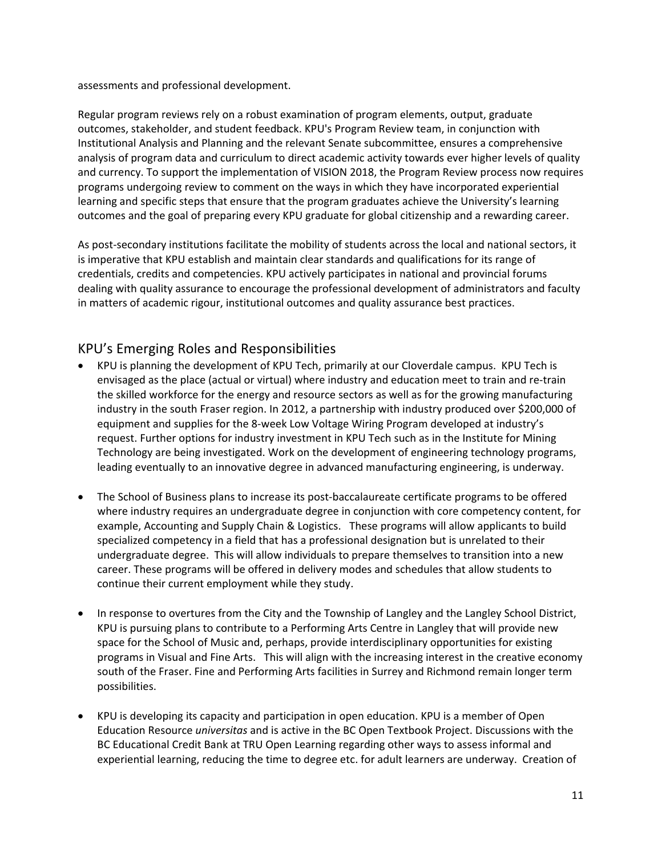assessments and professional development.

Regular program reviews rely on a robust examination of program elements, output, graduate outcomes, stakeholder, and student feedback. KPU's Program Review team, in conjunction with Institutional Analysis and Planning and the relevant Senate subcommittee, ensures a comprehensive analysis of program data and curriculum to direct academic activity towards ever higher levels of quality and currency. To support the implementation of VISION 2018, the Program Review process now requires programs undergoing review to comment on the ways in which they have incorporated experiential learning and specific steps that ensure that the program graduates achieve the University's learning outcomes and the goal of preparing every KPU graduate for global citizenship and a rewarding career.

As post-secondary institutions facilitate the mobility of students across the local and national sectors, it is imperative that KPU establish and maintain clear standards and qualifications for its range of credentials, credits and competencies. KPU actively participates in national and provincial forums dealing with quality assurance to encourage the professional development of administrators and faculty in matters of academic rigour, institutional outcomes and quality assurance best practices.

# KPU's Emerging Roles and Responsibilities

- KPU is planning the development of KPU Tech, primarily at our Cloverdale campus. KPU Tech is envisaged as the place (actual or virtual) where industry and education meet to train and re‐train the skilled workforce for the energy and resource sectors as well as for the growing manufacturing industry in the south Fraser region. In 2012, a partnership with industry produced over \$200,000 of equipment and supplies for the 8‐week Low Voltage Wiring Program developed at industry's request. Further options for industry investment in KPU Tech such as in the Institute for Mining Technology are being investigated. Work on the development of engineering technology programs, leading eventually to an innovative degree in advanced manufacturing engineering, is underway.
- The School of Business plans to increase its post-baccalaureate certificate programs to be offered where industry requires an undergraduate degree in conjunction with core competency content, for example, Accounting and Supply Chain & Logistics. These programs will allow applicants to build specialized competency in a field that has a professional designation but is unrelated to their undergraduate degree. This will allow individuals to prepare themselves to transition into a new career. These programs will be offered in delivery modes and schedules that allow students to continue their current employment while they study.
- In response to overtures from the City and the Township of Langley and the Langley School District, KPU is pursuing plans to contribute to a Performing Arts Centre in Langley that will provide new space for the School of Music and, perhaps, provide interdisciplinary opportunities for existing programs in Visual and Fine Arts. This will align with the increasing interest in the creative economy south of the Fraser. Fine and Performing Arts facilities in Surrey and Richmond remain longer term possibilities.
- KPU is developing its capacity and participation in open education. KPU is a member of Open Education Resource *universitas* and is active in the BC Open Textbook Project. Discussions with the BC Educational Credit Bank at TRU Open Learning regarding other ways to assess informal and experiential learning, reducing the time to degree etc. for adult learners are underway. Creation of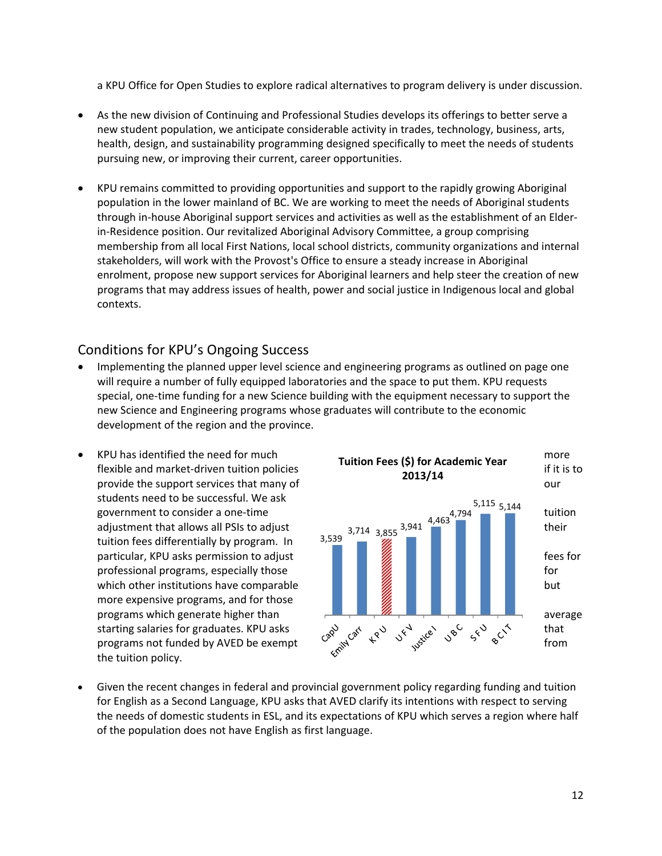a KPU Office for Open Studies to explore radical alternatives to program delivery is under discussion.

- As the new division of Continuing and Professional Studies develops its offerings to better serve a new student population, we anticipate considerable activity in trades, technology, business, arts, health, design, and sustainability programming designed specifically to meet the needs of students pursuing new, or improving their current, career opportunities.
- KPU remains committed to providing opportunities and support to the rapidly growing Aboriginal population in the lower mainland of BC. We are working to meet the needs of Aboriginal students through in‐house Aboriginal support services and activities as well as the establishment of an Elder‐ in‐Residence position. Our revitalized Aboriginal Advisory Committee, a group comprising membership from all local First Nations, local school districts, community organizations and internal stakeholders, will work with the Provost's Office to ensure a steady increase in Aboriginal enrolment, propose new support services for Aboriginal learners and help steer the creation of new programs that may address issues of health, power and social justice in Indigenous local and global contexts.

### Conditions for KPU's Ongoing Success

- Implementing the planned upper level science and engineering programs as outlined on page one will require a number of fully equipped laboratories and the space to put them. KPU requests special, one-time funding for a new Science building with the equipment necessary to support the new Science and Engineering programs whose graduates will contribute to the economic development of the region and the province.
- students need to be successful. We ask tuition fees differentially by program. In more expensive programs, and for those the tuition policy.



 Given the recent changes in federal and provincial government policy regarding funding and tuition for English as a Second Language, KPU asks that AVED clarify its intentions with respect to serving the needs of domestic students in ESL, and its expectations of KPU which serves a region where half of the population does not have English as first language.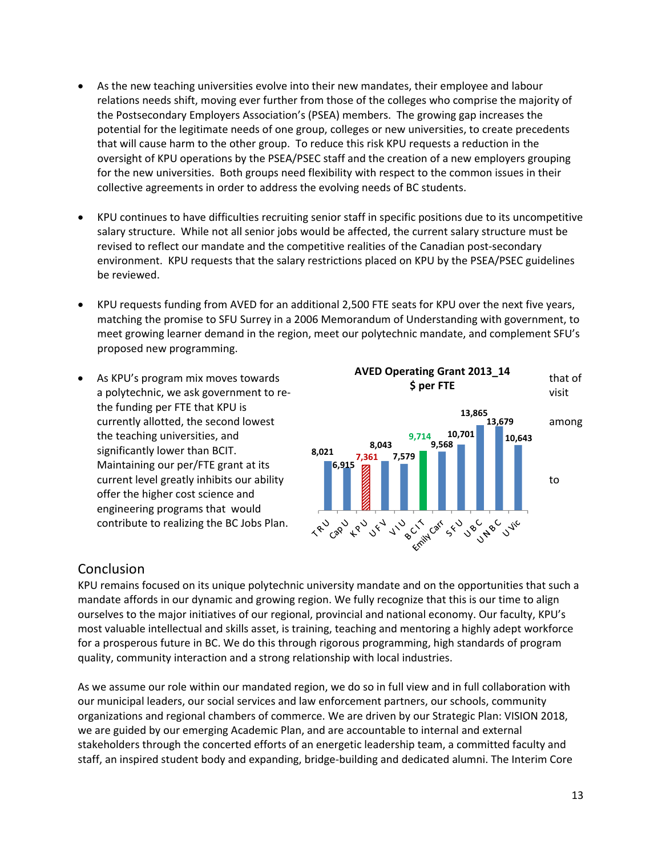- As the new teaching universities evolve into their new mandates, their employee and labour relations needs shift, moving ever further from those of the colleges who comprise the majority of the Postsecondary Employers Association's (PSEA) members. The growing gap increases the potential for the legitimate needs of one group, colleges or new universities, to create precedents that will cause harm to the other group. To reduce this risk KPU requests a reduction in the oversight of KPU operations by the PSEA/PSEC staff and the creation of a new employers grouping for the new universities. Both groups need flexibility with respect to the common issues in their collective agreements in order to address the evolving needs of BC students.
- KPU continues to have difficulties recruiting senior staff in specific positions due to its uncompetitive salary structure. While not all senior jobs would be affected, the current salary structure must be revised to reflect our mandate and the competitive realities of the Canadian post‐secondary environment. KPU requests that the salary restrictions placed on KPU by the PSEA/PSEC guidelines be reviewed.
- KPU requests funding from AVED for an additional 2,500 FTE seats for KPU over the next five years, matching the promise to SFU Surrey in a 2006 Memorandum of Understanding with government, to meet growing learner demand in the region, meet our polytechnic mandate, and complement SFU's proposed new programming.
- the funding per FTE that KPU is the teaching universities, and significantly lower than BCIT. Maintaining our per/FTE grant at its offer the higher cost science and engineering programs that would



#### Conclusion

KPU remains focused on its unique polytechnic university mandate and on the opportunities that such a mandate affords in our dynamic and growing region. We fully recognize that this is our time to align ourselves to the major initiatives of our regional, provincial and national economy. Our faculty, KPU's most valuable intellectual and skills asset, is training, teaching and mentoring a highly adept workforce for a prosperous future in BC. We do this through rigorous programming, high standards of program quality, community interaction and a strong relationship with local industries.

As we assume our role within our mandated region, we do so in full view and in full collaboration with our municipal leaders, our social services and law enforcement partners, our schools, community organizations and regional chambers of commerce. We are driven by our Strategic Plan: VISION 2018, we are guided by our emerging Academic Plan, and are accountable to internal and external stakeholders through the concerted efforts of an energetic leadership team, a committed faculty and staff, an inspired student body and expanding, bridge‐building and dedicated alumni. The Interim Core